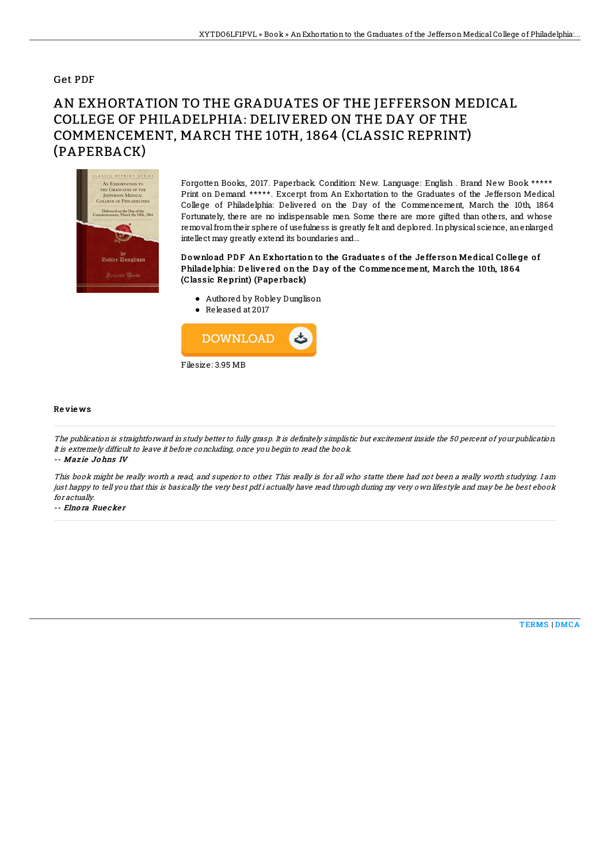### Get PDF

# AN EXHORTATION TO THE GRADUATES OF THE JEFFERSON MEDICAL COLLEGE OF PHILADELPHIA: DELIVERED ON THE DAY OF THE COMMENCEMENT, MARCH THE 10TH, 1864 (CLASSIC REPRINT) (PAPERBACK)



Forgotten Books, 2017. Paperback. Condition: New. Language: English . Brand New Book \*\*\*\*\* Print on Demand \*\*\*\*\*. Excerpt from An Exhortation to the Graduates of the Jefferson Medical College of Philadelphia: Delivered on the Day of the Commencement, March the 10th, 1864 Fortunately, there are no indispensable men. Some there are more gifted than others, and whose removalfromtheir sphere of usefulness is greatly felt and deplored. Inphysical science, anenlarged intellect may greatly extend its boundaries and...

#### Download PDF An Exhortation to the Graduates of the Jefferson Medical College of Philade lphia: De live red on the Day of the Comme nce me nt, March the 10th, 1864 (Classic Re print) (Pape rback)

- Authored by Robley Dunglison
- Released at 2017



#### Re vie ws

The publication is straightforward in study better to fully grasp. It is definitely simplistic but excitement inside the 50 percent of your publication. It is extremely difficult to leave it before concluding, once you begin to read the book.

#### -- Maz ie Jo hns IV

This book might be really worth a read, and superior to other. This really is for all who statte there had not been a really worth studying. I am just happy to tell you that this is basically the very best pdf i actually have read through during my very own lifestyle and may be he best ebook for actually.

-- Elno ra Rue cke <sup>r</sup>